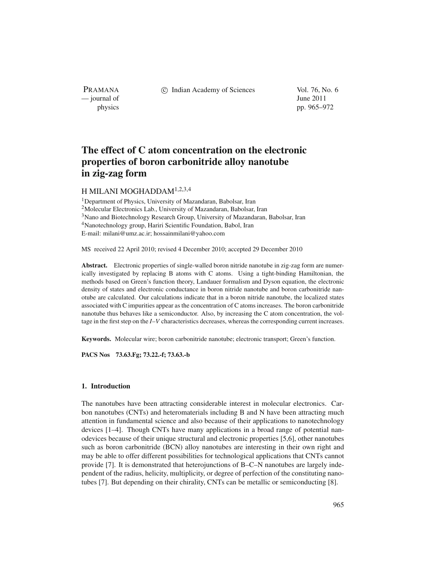PRAMANA — journal of June 2011

c Indian Academy of Sciences Vol. 76, No. 6

physics pp. 965–972

# **The effect of C atom concentration on the electronic properties of boron carbonitride alloy nanotube in zig-zag form**

# H MILANI MOGHADDAM1,2,3,4

<sup>1</sup>Department of Physics, University of Mazandaran, Babolsar, Iran 2Molecular Electronics Lab., University of Mazandaran, Babolsar, Iran <sup>3</sup>Nano and Biotechnology Research Group, University of Mazandaran, Babolsar, Iran 4Nanotechnology group, Hariri Scientific Foundation, Babol, Iran E-mail: milani@umz.ac.ir; hossainmilani@yahoo.com

MS received 22 April 2010; revised 4 December 2010; accepted 29 December 2010

Abstract. Electronic properties of single-walled boron nitride nanotube in zig-zag form are numerically investigated by replacing B atoms with C atoms. Using a tight-binding Hamiltonian, the methods based on Green's function theory, Landauer formalism and Dyson equation, the electronic density of states and electronic conductance in boron nitride nanotube and boron carbonitride nanotube are calculated. Our calculations indicate that in a boron nitride nanotube, the localized states associated with C impurities appear as the concentration of C atoms increases. The boron carbonitride nanotube thus behaves like a semiconductor. Also, by increasing the C atom concentration, the voltage in the first step on the *I*–*V* characteristics decreases, whereas the corresponding current increases.

**Keywords.** Molecular wire; boron carbonitride nanotube; electronic transport; Green's function.

**PACS Nos 73.63.Fg; 73.22.-f; 73.63.-b**

## **1. Introduction**

The nanotubes have been attracting considerable interest in molecular electronics. Carbon nanotubes (CNTs) and heteromaterials including B and N have been attracting much attention in fundamental science and also because of their applications to nanotechnology devices [1–4]. Though CNTs have many applications in a broad range of potential nanodevices because of their unique structural and electronic properties [5,6], other nanotubes such as boron carbonitride (BCN) alloy nanotubes are interesting in their own right and may be able to offer different possibilities for technological applications that CNTs cannot provide [7]. It is demonstrated that heterojunctions of B–C–N nanotubes are largely independent of the radius, helicity, multiplicity, or degree of perfection of the constituting nanotubes [7]. But depending on their chirality, CNTs can be metallic or semiconducting [8].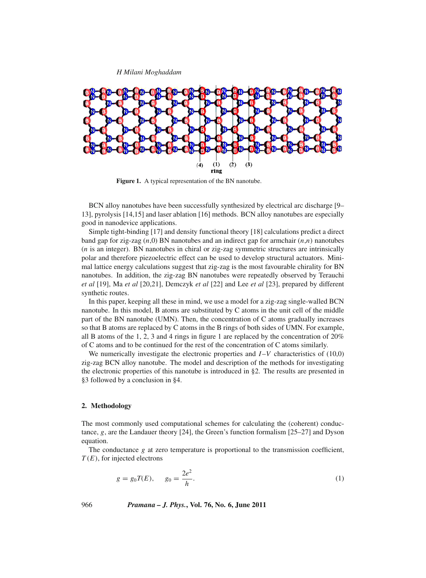*H Milani Moghaddam*



**Figure 1.** A typical representation of the BN nanotube.

BCN alloy nanotubes have been successfully synthesized by electrical arc discharge [9– 13], pyrolysis [14,15] and laser ablation [16] methods. BCN alloy nanotubes are especially good in nanodevice applications.

Simple tight-binding [17] and density functional theory [18] calculations predict a direct band gap for zig-zag  $(n,0)$  BN nanotubes and an indirect gap for armchair  $(n,n)$  nanotubes (*n* is an integer). BN nanotubes in chiral or zig-zag symmetric structures are intrinsically polar and therefore piezoelectric effect can be used to develop structural actuators. Minimal lattice energy calculations suggest that zig-zag is the most favourable chirality for BN nanotubes. In addition, the zig-zag BN nanotubes were repeatedly observed by Terauchi *et al* [19], Ma *et al* [20,21], Demczyk *et al* [22] and Lee *et al* [23], prepared by different synthetic routes.

In this paper, keeping all these in mind, we use a model for a zig-zag single-walled BCN nanotube. In this model, B atoms are substituted by C atoms in the unit cell of the middle part of the BN nanotube (UMN). Then, the concentration of C atoms gradually increases so that B atoms are replaced by C atoms in the B rings of both sides of UMN. For example, all B atoms of the 1, 2, 3 and 4 rings in figure 1 are replaced by the concentration of 20% of C atoms and to be continued for the rest of the concentration of C atoms similarly.

We numerically investigate the electronic properties and *I*-*V* characteristics of (10,0) zig-zag BCN alloy nanotube. The model and description of the methods for investigating the electronic properties of this nanotube is introduced in §2. The results are presented in §3 followed by a conclusion in §4.

### **2. Methodology**

The most commonly used computational schemes for calculating the (coherent) conductance, *g*, are the Landauer theory [24], the Green's function formalism [25–27] and Dyson equation.

The conductance  $g$  at zero temperature is proportional to the transmission coefficient, *T* (*E*), for injected electrons

$$
g = g_0 T(E), \qquad g_0 = \frac{2e^2}{h}.
$$
 (1)

966 *Pramana – J. Phys.***, Vol. 76, No. 6, June 2011**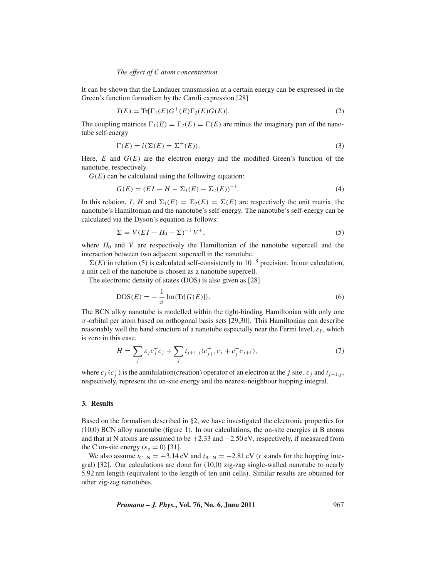#### *The effect of C atom concentration*

It can be shown that the Landauer transmission at a certain energy can be expressed in the Green's function formalism by the Caroli expression [28]

$$
T(E) = \text{Tr}[\Gamma_1(E)G^+(E)\Gamma_2(E)G(E)].
$$
\n(2)

The coupling matrices  $\Gamma_1(E) = \Gamma_2(E) = \Gamma(E)$  are minus the imaginary part of the nanotube self-energy

$$
\Gamma(E) = i(\Sigma(E) = \Sigma^+(E)).
$$
\n(3)

Here,  $E$  and  $G(E)$  are the electron energy and the modified Green's function of the nanotube, respectively.

 $G(E)$  can be calculated using the following equation:

$$
G(E) = (EI - H - \Sigma_1(E) - \Sigma_2(E))^{-1}.
$$
\n(4)

In this relation, *I*, *H* and  $\Sigma_1(E) = \Sigma_2(E) = \Sigma(E)$  are respectively the unit matrix, the nanotube's Hamiltonian and the nanotube's self-energy. The nanotube's self-energy can be calculated via the Dyson's equation as follows:

$$
\Sigma = V(EI - H_0 - \Sigma)^{-1} V^+, \tag{5}
$$

where  $H_0$  and *V* are respectively the Hamiltonian of the nanotube supercell and the interaction between two adjacent supercell in the nanotube.

 $\Sigma(E)$  in relation (5) is calculated self-consistently to 10<sup>-8</sup> precision. In our calculation, a unit cell of the nanotube is chosen as a nanotube supercell.

The electronic density of states (DOS) is also given as [28]

$$
DOS(E) = -\frac{1}{\pi} \operatorname{Im} {\{ \operatorname{Tr} [G(E)] \}}.
$$
\n
$$
(6)
$$

The BCN alloy nanotube is modelled within the tight-binding Hamiltonian with only one  $\pi$ -orbital per atom based on orthogonal basis sets [29,30]. This Hamiltonian can describe reasonably well the band structure of a nanotube especially near the Fermi level,  $\varepsilon_F$ , which is zero in this case.

$$
H = \sum_{j} \varepsilon_{j} c_{j}^{+} c_{j} + \sum_{j} t_{j+1,j} (c_{j+1}^{+} c_{j} + c_{j}^{+} c_{j+1}), \tag{7}
$$

where  $c_j$  ( $c_j^+$ ) is the annihilation(creation) operator of an electron at the *j* site.  $\varepsilon_j$  and  $t_{j+1,j}$ , respectively, represent the on-site energy and the nearest-neighbour hopping integral.

#### **3. Results**

Based on the formalism described in §2, we have investigated the electronic properties for (10,0) BCN alloy nanotube (figure 1). In our calculations, the on-site energies at B atoms and that at N atoms are assumed to be  $+2.33$  and  $-2.50$  eV, respectively, if measured from the C on-site energy ( $\varepsilon_c = 0$ ) [31].

We also assume  $t_{\text{C-N}} = -3.14 \text{ eV}$  and  $t_{\text{B-N}} = -2.81 \text{ eV}$  (*t* stands for the hopping integral) [32]. Our calculations are done for (10,0) zig-zag single-walled nanotube to nearly 5.92 nm length (equivalent to the length of ten unit cells). Similar results are obtained for other zig-zag nanotubes.

*Pramana – J. Phys.***, Vol. 76, No. 6, June 2011** 967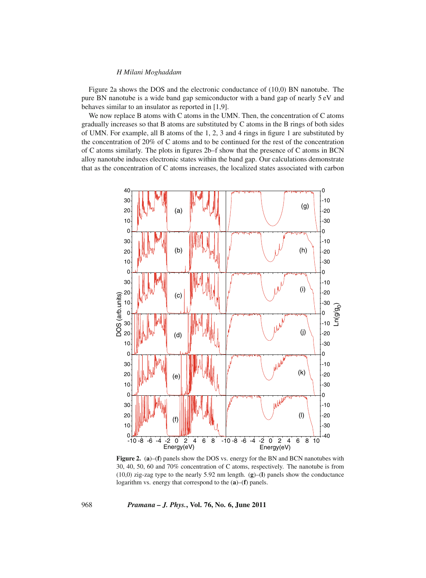#### *H Milani Moghaddam*

Figure 2a shows the DOS and the electronic conductance of (10,0) BN nanotube. The pure BN nanotube is a wide band gap semiconductor with a band gap of nearly 5 eV and behaves similar to an insulator as reported in [1,9].

We now replace B atoms with C atoms in the UMN. Then, the concentration of C atoms gradually increases so that B atoms are substituted by C atoms in the B rings of both sides of UMN. For example, all B atoms of the 1, 2, 3 and 4 rings in figure 1 are substituted by the concentration of 20% of C atoms and to be continued for the rest of the concentration of C atoms similarly. The plots in figures 2b–f show that the presence of C atoms in BCN alloy nanotube induces electronic states within the band gap. Our calculations demonstrate that as the concentration of C atoms increases, the localized states associated with carbon



**Figure 2.** (**a**)–(**f**) panels show the DOS vs. energy for the BN and BCN nanotubes with 30, 40, 50, 60 and 70% concentration of C atoms, respectively. The nanotube is from (10,0) zig-zag type to the nearly 5.92 nm length. (**g**)–(**l**) panels show the conductance logarithm vs. energy that correspond to the (**a**)–(**f**) panels.

968 *Pramana – J. Phys.***, Vol. 76, No. 6, June 2011**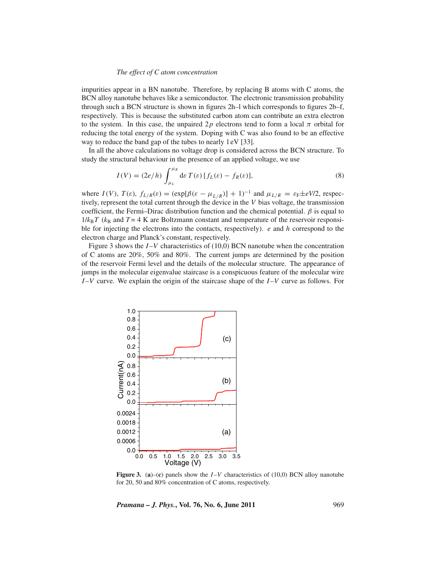#### *The effect of C atom concentration*

impurities appear in a BN nanotube. Therefore, by replacing B atoms with C atoms, the BCN alloy nanotube behaves like a semiconductor. The electronic transmission probability through such a BCN structure is shown in figures 2h–l which corresponds to figures 2b–f, respectively. This is because the substituted carbon atom can contribute an extra electron to the system. In this case, the unpaired 2p electrons tend to form a local  $\pi$  orbital for reducing the total energy of the system. Doping with C was also found to be an effective way to reduce the band gap of the tubes to nearly 1eV [33].

In all the above calculations no voltage drop is considered across the BCN structure. To study the structural behaviour in the presence of an applied voltage, we use

$$
I(V) = (2e/h) \int_{\mu_L}^{\mu_R} d\varepsilon T(\varepsilon) [f_L(\varepsilon) - f_R(\varepsilon)], \qquad (8)
$$

where  $I(V)$ ,  $T(\varepsilon)$ ,  $f_{L/R}(\varepsilon) = (\exp[\beta(\varepsilon - \mu_{L/R})] + 1)^{-1}$  and  $\mu_{L/R} = \varepsilon_F \pm eV/2$ , respectively, represent the total current through the device in the *V* bias voltage, the transmission coefficient, the Fermi–Dirac distribution function and the chemical potential.  $\beta$  is equal to  $1/k_B T$  ( $k_B$  and  $T = 4$  K are Boltzmann constant and temperature of the reservoir responsible for injecting the electrons into the contacts, respectively). *e* and *h* correspond to the electron charge and Planck's constant, respectively.

Figure 3 shows the *I*-*V* characteristics of (10,0) BCN nanotube when the concentration of C atoms are 20%, 50% and 80%. The current jumps are determined by the position of the reservoir Fermi level and the details of the molecular structure. The appearance of jumps in the molecular eigenvalue staircase is a conspicuous feature of the molecular wire *I* –*V* curve. We explain the origin of the staircase shape of the *I* –*V* curve as follows. For



**Figure 3.** (**a**)–(**c**) panels show the *I* –*V* characteristics of (10,0) BCN alloy nanotube for 20, 50 and 80% concentration of C atoms, respectively.

*Pramana – J. Phys.***, Vol. 76, No. 6, June 2011** 969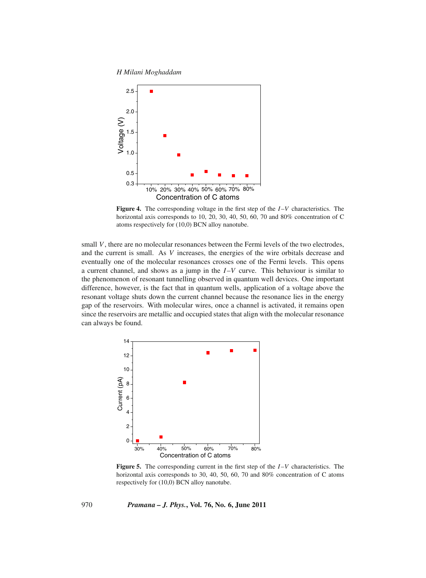*H Milani Moghaddam*



**Figure 4.** The corresponding voltage in the first step of the *I* –*V* characteristics. The horizontal axis corresponds to 10, 20, 30, 40, 50, 60, 70 and 80% concentration of C atoms respectively for (10,0) BCN alloy nanotube.

small *V*, there are no molecular resonances between the Fermi levels of the two electrodes, and the current is small. As *V* increases, the energies of the wire orbitals decrease and eventually one of the molecular resonances crosses one of the Fermi levels. This opens a current channel, and shows as a jump in the  $I-V$  curve. This behaviour is similar to the phenomenon of resonant tunnelling observed in quantum well devices. One important difference, however, is the fact that in quantum wells, application of a voltage above the resonant voltage shuts down the current channel because the resonance lies in the energy gap of the reservoirs. With molecular wires, once a channel is activated, it remains open since the reservoirs are metallic and occupied states that align with the molecular resonance can always be found.



**Figure 5.** The corresponding current in the first step of the *I* –*V* characteristics. The horizontal axis corresponds to 30, 40, 50, 60, 70 and 80% concentration of C atoms respectively for (10,0) BCN alloy nanotube.

970 *Pramana – J. Phys.***, Vol. 76, No. 6, June 2011**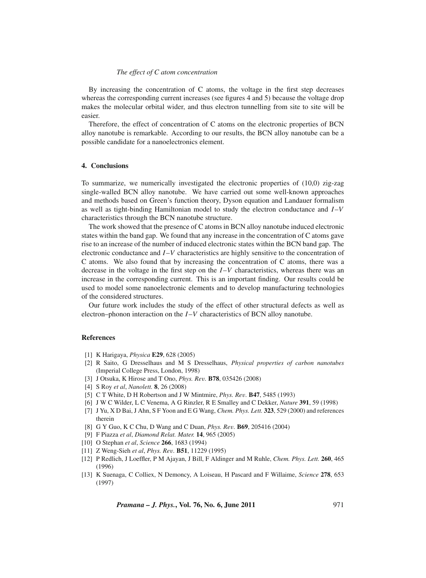#### *The effect of C atom concentration*

By increasing the concentration of C atoms, the voltage in the first step decreases whereas the corresponding current increases (see figures 4 and 5) because the voltage drop makes the molecular orbital wider, and thus electron tunnelling from site to site will be easier.

Therefore, the effect of concentration of C atoms on the electronic properties of BCN alloy nanotube is remarkable. According to our results, the BCN alloy nanotube can be a possible candidate for a nanoelectronics element.

#### **4. Conclusions**

To summarize, we numerically investigated the electronic properties of (10,0) zig-zag single-walled BCN alloy nanotube. We have carried out some well-known approaches and methods based on Green's function theory, Dyson equation and Landauer formalism as well as tight-binding Hamiltonian model to study the electron conductance and *I* –*V* characteristics through the BCN nanotube structure.

The work showed that the presence of C atoms in BCN alloy nanotube induced electronic states within the band gap. We found that any increase in the concentration of C atoms gave rise to an increase of the number of induced electronic states within the BCN band gap. The electronic conductance and *I* –*V* characteristics are highly sensitive to the concentration of C atoms. We also found that by increasing the concentration of C atoms, there was a decrease in the voltage in the first step on the *I* –*V* characteristics, whereas there was an increase in the corresponding current. This is an important finding. Our results could be used to model some nanoelectronic elements and to develop manufacturing technologies of the considered structures.

Our future work includes the study of the effect of other structural defects as well as electron–phonon interaction on the *I*–*V* characteristics of BCN alloy nanotube.

#### **References**

- [1] K Harigaya, *Physica* **E29**, 628 (2005)
- [2] R Saito, G Dresselhaus and M S Dresselhaus, *Physical properties of carbon nanotubes* (Imperial College Press, London, 1998)
- [3] J Otsuka, K Hirose and T Ono, *Phys. Re*v*.* **B78**, 035426 (2008)
- [4] S Roy *et al*, *Nanolett.* **8**, 26 (2008)
- [5] C T White, D H Robertson and J W Mintmire, *Phys. Re*v*.* **B47**, 5485 (1993)
- [6] J W C Wilder, L C Venema, A G Rinzler, R E Smalley and C Dekker, *Nature* **391**, 59 (1998)
- [7] J Yu, X D Bai, J Ahn, S F Yoon and E G Wang, *Chem. Phys. Lett.* **323**, 529 (2000) and references therein
- [8] G Y Guo, K C Chu, D Wang and C Duan, *Phys. Re*v*.* **B69**, 205416 (2004)
- [9] F Piazza *et al*, *Diamond Relat. Mater.* **14**, 965 (2005)
- [10] O Stephan *et al*, *Science* **266**, 1683 (1994)
- [11] Z Weng-Sieh *et al*, *Phys. Re*v*.* **B51**, 11229 (1995)
- [12] P Redlich, J Loeffler, P M Ajayan, J Bill, F Aldinger and M Ruhle, *Chem. Phys. Lett.* **260**, 465 (1996)
- [13] K Suenaga, C Colliex, N Demoncy, A Loiseau, H Pascard and F Willaime, *Science* **278**, 653 (1997)